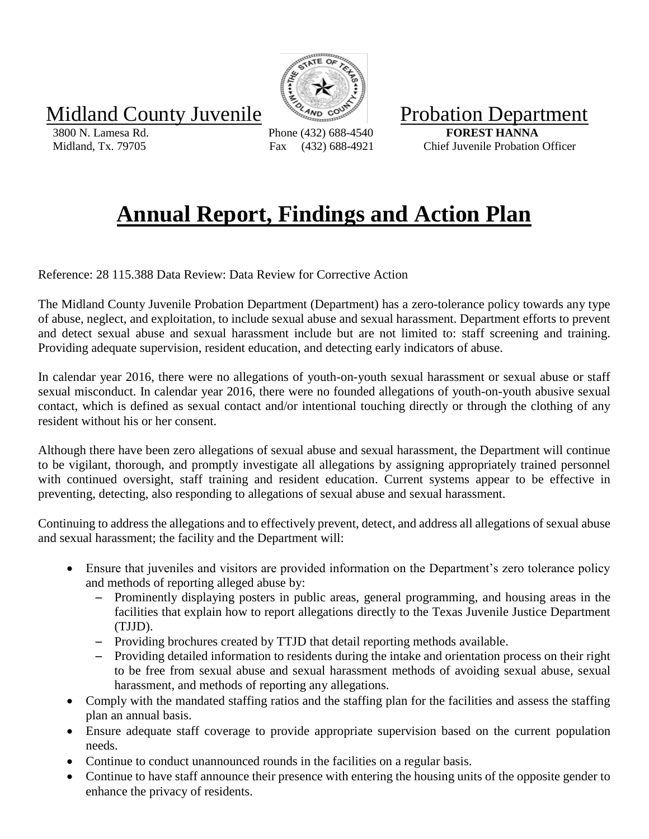Midland County Juvenile **Example** Probation Department

 3800 N. Lamesa Rd. Phone (432) 688-4540 **FOREST HANNA** Midland, Tx. 79705 Fax (432) 688-4921 Chief Juvenile Probation Officer

## **Annual Report, Findings and Action Plan**

Reference: 28 115.388 Data Review: Data Review for Corrective Action

The Midland County Juvenile Probation Department (Department) has a zero-tolerance policy towards any type of abuse, neglect, and exploitation, to include sexual abuse and sexual harassment. Department efforts to prevent and detect sexual abuse and sexual harassment include but are not limited to: staff screening and training. Providing adequate supervision, resident education, and detecting early indicators of abuse.

In calendar year 2016, there were no allegations of youth-on-youth sexual harassment or sexual abuse or staff sexual misconduct. In calendar year 2016, there were no founded allegations of youth-on-youth abusive sexual contact, which is defined as sexual contact and/or intentional touching directly or through the clothing of any resident without his or her consent.

Although there have been zero allegations of sexual abuse and sexual harassment, the Department will continue to be vigilant, thorough, and promptly investigate all allegations by assigning appropriately trained personnel with continued oversight, staff training and resident education. Current systems appear to be effective in preventing, detecting, also responding to allegations of sexual abuse and sexual harassment.

Continuing to address the allegations and to effectively prevent, detect, and address all allegations of sexual abuse and sexual harassment; the facility and the Department will:

- Ensure that juveniles and visitors are provided information on the Department's zero tolerance policy and methods of reporting alleged abuse by:
	- Prominently displaying posters in public areas, general programming, and housing areas in the facilities that explain how to report allegations directly to the Texas Juvenile Justice Department (TJJD).
	- Providing brochures created by TTJD that detail reporting methods available.
	- Providing detailed information to residents during the intake and orientation process on their right to be free from sexual abuse and sexual harassment methods of avoiding sexual abuse, sexual harassment, and methods of reporting any allegations.
- Comply with the mandated staffing ratios and the staffing plan for the facilities and assess the staffing plan an annual basis.
- Ensure adequate staff coverage to provide appropriate supervision based on the current population needs.
- Continue to conduct unannounced rounds in the facilities on a regular basis.
- Continue to have staff announce their presence with entering the housing units of the opposite gender to enhance the privacy of residents.